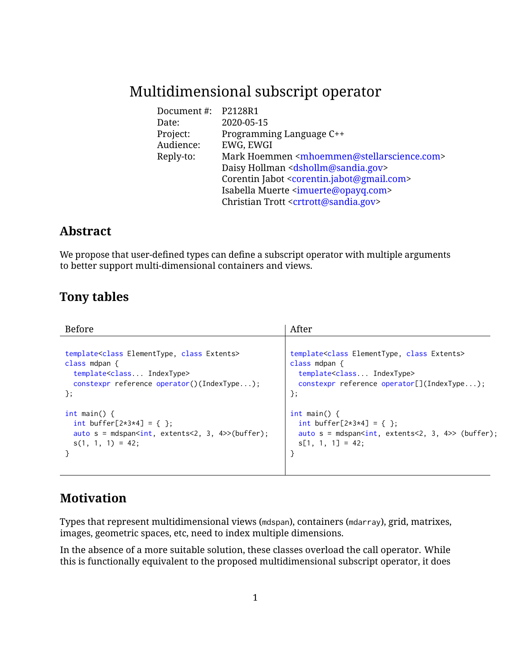# Multidimensional subscript operator

| Document #: | P2128R1                                                                  |
|-------------|--------------------------------------------------------------------------|
| Date:       | 2020-05-15                                                               |
| Project:    | Programming Language C++                                                 |
| Audience:   | EWG, EWGI                                                                |
| Reply-to:   | Mark Hoemmen <mhoemmen@stellarscience.com></mhoemmen@stellarscience.com> |
|             | Daisy Hollman <dshollm@sandia.gov></dshollm@sandia.gov>                  |
|             | Corentin Jabot <corentin.jabot@gmail.com></corentin.jabot@gmail.com>     |
|             | Isabella Muerte <imuerte@opayq.com></imuerte@opayq.com>                  |
|             | Christian Trott <crtrott@sandia.gov></crtrott@sandia.gov>                |

## **Abstract**

We propose that user-defined types can define a subscript operator with multiple arguments to better support multi-dimensional containers and views.

## **Tony tables**

| <b>Before</b>                                                          | After                                                        |
|------------------------------------------------------------------------|--------------------------------------------------------------|
| template <class class="" elementtype,="" extents=""></class>           | template <class class="" elementtype,="" extents=""></class> |
| class mdpan $\{$                                                       | class mdpan $\{$                                             |
| template <class indextype=""></class>                                  | template <class indextype=""></class>                        |
| constexpr reference operator()(IndexType);                             | constexpr reference operator[](IndexType);                   |
| $\}$ ;                                                                 | };                                                           |
| int main() $\{$                                                        | $int \text{ main() } f$                                      |
| int buffer[ $2*3*4$ ] = { };                                           | int buffer[ $2*3*4$ ] = { };                                 |
| auto $s = mds$ pan <int, 3,="" 4="" extents<2,="">&gt;(buffer);</int,> | auto $s = mds$ pan $\sin t$ , extents < 2, 3, 4>> (buffer);  |
| $s(1, 1, 1) = 42;$                                                     | $s[1, 1, 1] = 42$ ;                                          |

# **Motivation**

Types that represent multidimensional views (mdspan), containers (mdarray), grid, matrixes, images, geometric spaces, etc, need to index multiple dimensions.

In the absence of a more suitable solution, these classes overload the call operator. While this is functionally equivalent to the proposed multidimensional subscript operator, it does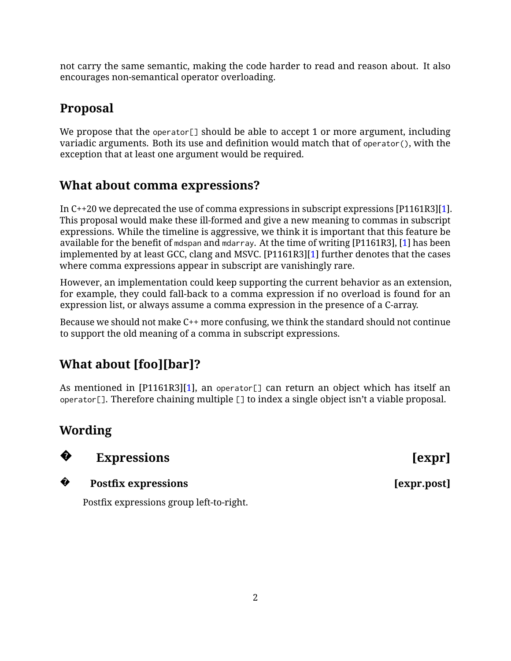not carry the same semantic, making the code harder to read and reason about. It also encourages non-semantical operator overloading.

# **Proposal**

We propose that the operator[] should be able to accept 1 or more argument, including variadic arguments. Both its use and definition would match that of operator(), with the exception that at least one argument would be required.

# **What about comma expressions?**

In C++20 we deprecated the use of comma expressions in subscript expressions [P1161R3][\[1\]](#page-4-0). This proposal would make these ill-formed and give a new meaning to commas in subscript expressions. While the timeline is aggressive, we think it is important that this feature be available for the benefit of mdspan and mdarray. At the time of writing [P1161R3], [\[1\]](#page-4-0) has been implemented by at least GCC, clang and MSVC. [P1161R3][\[1\]](#page-4-0) further denotes that the cases where comma expressions appear in subscript are vanishingly rare.

However, an implementation could keep supporting the current behavior as an extension, for example, they could fall-back to a comma expression if no overload is found for an expression list, or always assume a comma expression in the presence of a C-array.

Because we should not make C++ more confusing, we think the standard should not continue to support the old meaning of a comma in subscript expressions.

# **What about [foo][bar]?**

As mentioned in [P1161R3][\[1\]](#page-4-0), an operator[] can return an object which has itself an operator[]. Therefore chaining multiple [] to index a single object isn't a viable proposal.

# **Wording**



# **Expressions** [expr]

**?**

### **Postfix expressions** [expr.post]

Postfix expressions group left-to-right.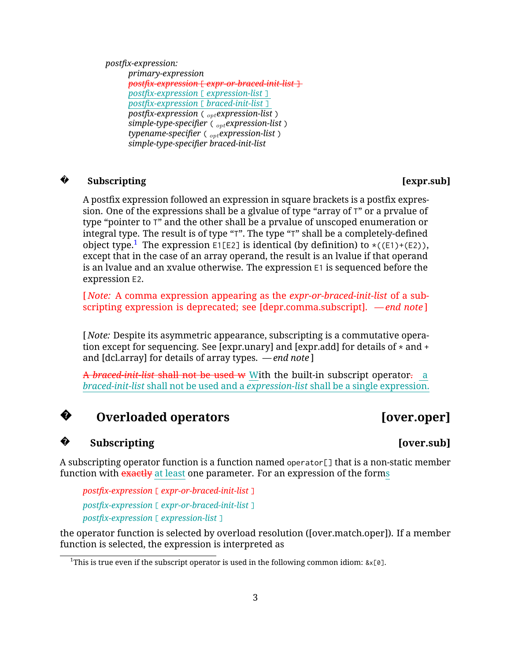*postfix-expression:*

*primary-expression postfix-expression* [ *expr-or-braced-init-list* ] *postfix-expression* [ *expression-list* ] *postfix-expression* [ *braced-init-list* ] *postfix-expression* ( *optexpression-list* ) *simple-type-specifier* ( *optexpression-list* ) *typename-specifier* ( *optexpression-list* ) *simple-type-specifier braced-init-list*

#### **?** Subscripting [expr.sub]

A postfix expression followed an expression in square brackets is a postfix expression. One of the expressions shall be a glvalue of type "array of T" or a prvalue of type "pointer to T" and the other shall be a prvalue of unscoped enumeration or integral type. The result is of type "T". The type "T" shall be a completely-defined object type.<sup>[1](#page-2-0)</sup> The expression E1[E2] is identical (by definition) to  $\star((E1)+E2)$ ), except that in the case of an array operand, the result is an lvalue if that operand is an lvalue and an xvalue otherwise. The expression E1 is sequenced before the expression E2.

[ *Note:* A comma expression appearing as the *expr-or-braced-init-list* of a subscripting expression is deprecated; see [depr.comma.subscript]. *— end note* ]

[ *Note:* Despite its asymmetric appearance, subscripting is a commutative operation except for sequencing. See [expr.unary] and [expr.add] for details of  $*$  and  $*$ and [dcl.array] for details of array types. *— end note* ]

A *braced-init-list* shall not be used w With the built-in subscript operator. a *braced-init-list* shall not be used and a *expression-list* shall be a single expression.

**?**

### Subscripting **[over.sub]**

A subscripting operator function is a function named operator[] that is a non-static member function with exactly at least one parameter. For an expression of the forms

*postfix-expression* [ *expr-or-braced-init-list* ] *postfix-expression* [ *expr-or-braced-init-list* ] *postfix-expression* [ *expression-list* ]

the operator function is selected by overload resolution ([over.match.oper]). If a member function is selected, the expression is interpreted as

# **Overloaded operators** [over.oper]

# **?**

<span id="page-2-0"></span><sup>&</sup>lt;sup>1</sup>This is true even if the subscript operator is used in the following common idiom:  $&x[0]$ .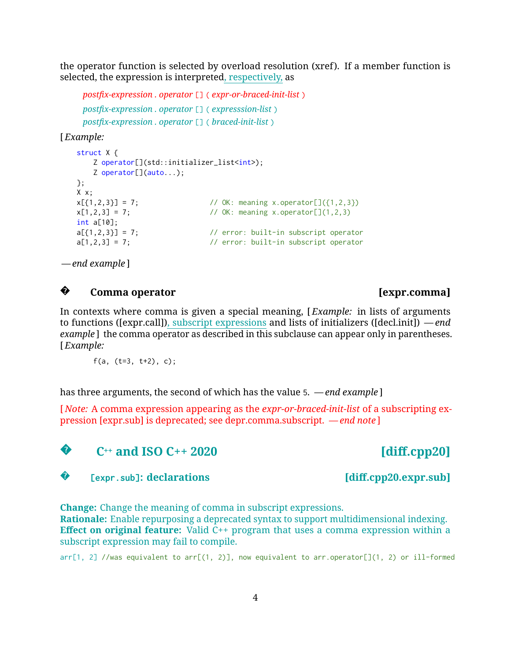the operator function is selected by overload resolution (xref). If a member function is selected, the expression is interpreted, respectively, as

```
postfix-expression . operator [] ( expr-or-braced-init-list )
postfix-expression . operator [] ( expresssion-list )
postfix-expression . operator [] ( braced-init-list )
```
[ *Example:*

```
struct X {
   Z operator[](std::initializer_list<int>);
   Z operator[](auto...);
};
X x;
x[\{1,2,3\}] = 7; // OK: meaning x.operator[]({1,2,3})
x[1,2,3] = 7; // OK: meaning x.operator[](1,2,3)
int a[10];
a[\{1,2,3\}] = 7; // error: built-in subscript operator
a[1,2,3] = 7; // error: built-in subscript operator
```
*— end example* ]

**?Comma operator [expr.comma]** 

In contexts where comma is given a special meaning, [ *Example:* in lists of arguments to functions ([expr.call]), subscript expressions and lists of initializers ([decl.init]) *— end example* ] the comma operator as described in this subclause can appear only in parentheses. [ *Example:*

f(a,  $(t=3, t+2)$ , c);

has three arguments, the second of which has the value 5. *— end example* ]

[ *Note:* A comma expression appearing as the *expr-or-braced-init-list* of a subscripting expression [expr.sub] is deprecated; see depr.comma.subscript. *— end note* ]



**?**

**C++ and ISO C++ 2020 [diff.cpp20]**

[expr.sub]**: declarations** [diff.cpp20.expr.sub]

**Change:** Change the meaning of comma in subscript expressions.

**Rationale:** Enable repurposing a deprecated syntax to support multidimensional indexing. **Effect on original feature:** Valid C++ program that uses a comma expression within a subscript expression may fail to compile.

 $arr[1, 2]$  //was equivalent to  $arr[(1, 2)]$ , now equivalent to  $arr.opentor[1(1, 2)$  or ill-formed